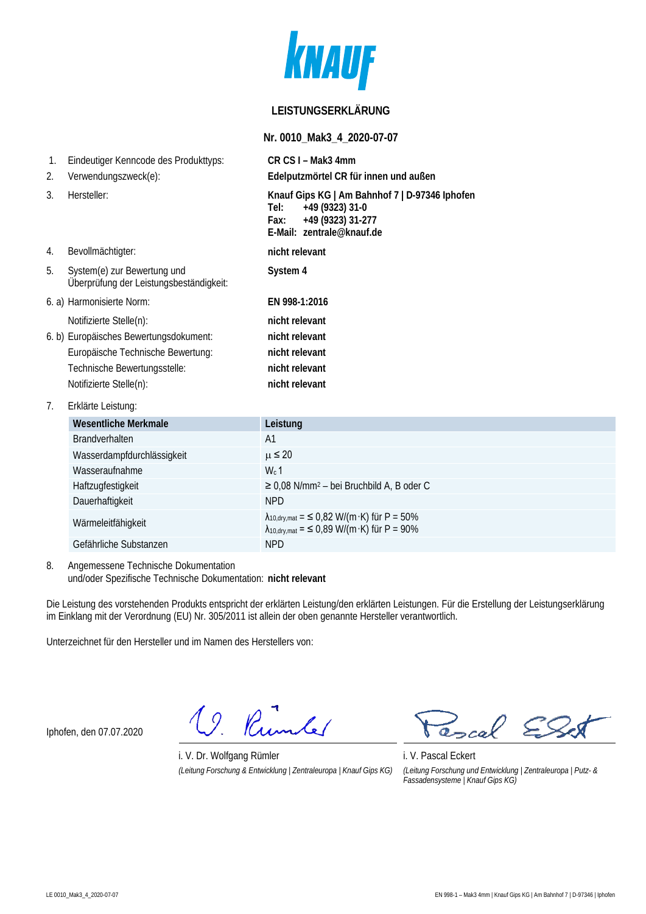

## **LEISTUNGSERKLÄRUNG**

### **Nr. 0010\_Mak3\_4\_2020-07-07**

| 1.<br>2. | Eindeutiger Kenncode des Produkttyps:<br>Verwendungszweck(e):                                                                                                     | CR CS I - Mak3 4mm<br>Edelputzmörtel CR für innen und außen                                                                           |
|----------|-------------------------------------------------------------------------------------------------------------------------------------------------------------------|---------------------------------------------------------------------------------------------------------------------------------------|
| 3.       | Hersteller:                                                                                                                                                       | Knauf Gips KG   Am Bahnhof 7   D-97346 Iphofen<br>+49 (9323) 31-0<br>Tel: I<br>+49 (9323) 31-277<br>Fax:<br>E-Mail: zentrale@knauf.de |
| 4.       | Bevollmächtigter:                                                                                                                                                 | nicht relevant                                                                                                                        |
| 5.       | System(e) zur Bewertung und<br>Überprüfung der Leistungsbeständigkeit:                                                                                            | System 4                                                                                                                              |
|          | 6. a) Harmonisierte Norm:                                                                                                                                         | EN 998-1:2016                                                                                                                         |
|          | Notifizierte Stelle(n):<br>6. b) Europäisches Bewertungsdokument:<br>Europäische Technische Bewertung:<br>Technische Bewertungsstelle:<br>Notifizierte Stelle(n): | nicht relevant<br>nicht relevant<br>nicht relevant<br>nicht relevant<br>nicht relevant                                                |
| 7.       | Erklärte Leistung:                                                                                                                                                |                                                                                                                                       |
|          | <b>Wesentliche Merkmale</b>                                                                                                                                       | Leistung                                                                                                                              |
|          | Brandverhalten                                                                                                                                                    | A <sub>1</sub>                                                                                                                        |
|          | Wasserdampfdurchlässigkeit                                                                                                                                        | $\mu \leq 20$                                                                                                                         |
|          | Mogorointnahma                                                                                                                                                    | $\frac{1}{4}$                                                                                                                         |

| Wasserdampfdurchlässigkeit | $\mu \leq 20$                                                                                                  |
|----------------------------|----------------------------------------------------------------------------------------------------------------|
| Wasseraufnahme             | $Wc$ 1                                                                                                         |
| Haftzugfestigkeit          | $\geq$ 0,08 N/mm <sup>2</sup> – bei Bruchbild A, B oder C                                                      |
| Dauerhaftigkeit            | NPD.                                                                                                           |
| Wärmeleitfähigkeit         | $\lambda_{10, dry, mat} =$ < 0,82 W/(m·K) für P = 50%<br>$\lambda_{10, dry, mat} =$ < 0,89 W/(m·K) für P = 90% |
| Gefährliche Substanzen     | NPD.                                                                                                           |

8. Angemessene Technische Dokumentation und/oder Spezifische Technische Dokumentation: **nicht relevant**

Die Leistung des vorstehenden Produkts entspricht der erklärten Leistung/den erklärten Leistungen. Für die Erstellung der Leistungserklärung im Einklang mit der Verordnung (EU) Nr. 305/2011 ist allein der oben genannte Hersteller verantwortlich.

Unterzeichnet für den Hersteller und im Namen des Herstellers von:

Iphofen, den 07.07.2020

19. Rumler

i. V. Dr. Wolfgang Rümler i. V. Pascal Eckert *(Leitung Forschung & Entwicklung | Zentraleuropa | Knauf Gips KG) (Leitung Forschung und Entwicklung | Zentraleuropa | Putz- &* 

cal  $\sum$ 

*Fassadensysteme | Knauf Gips KG)*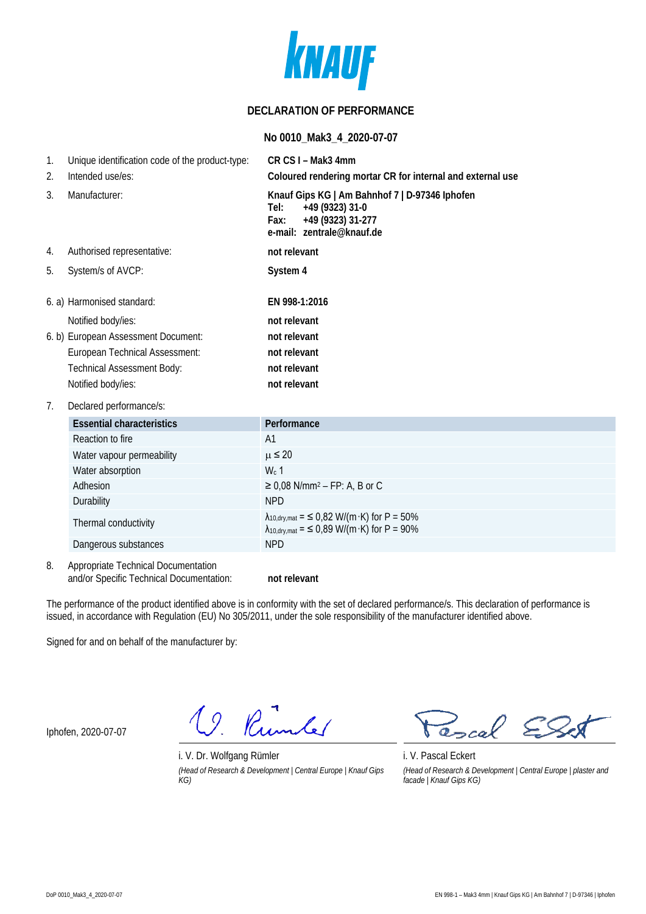

## **DECLARATION OF PERFORMANCE**

#### **No 0010\_Mak3\_4\_2020-07-07**

| 1. | Unique identification code of the product-type: | CR CS I - Mak3 4mm                                                                                                                  |
|----|-------------------------------------------------|-------------------------------------------------------------------------------------------------------------------------------------|
| 2. | Intended use/es:                                | Coloured rendering mortar CR for internal and external use                                                                          |
| 3. | Manufacturer:                                   | Knauf Gips KG   Am Bahnhof 7   D-97346 Iphofen<br>+49 (9323) 31-0<br>Tel:<br>+49 (9323) 31-277<br>Fax:<br>e-mail: zentrale@knauf.de |
| 4. | Authorised representative:                      | not relevant                                                                                                                        |
| 5. | System/s of AVCP:                               | System 4                                                                                                                            |
|    | 6. a) Harmonised standard:                      | EN 998-1:2016                                                                                                                       |
|    | Notified body/ies:                              | not relevant                                                                                                                        |
|    | 6. b) European Assessment Document:             | not relevant                                                                                                                        |
|    | European Technical Assessment:                  | not relevant                                                                                                                        |
|    | <b>Technical Assessment Body:</b>               | not relevant                                                                                                                        |
|    | Notified body/ies:                              | not relevant                                                                                                                        |
| 7. | Declared performance/s:                         |                                                                                                                                     |
|    | <b>Essential characteristics</b>                | Performance                                                                                                                         |
|    | Reaction to fire                                | A <sub>1</sub>                                                                                                                      |
|    | Water vapour permeability                       | $\mu \leq 20$                                                                                                                       |
|    | Water absorption                                | $W_c$ 1                                                                                                                             |
|    | Adhesion                                        | $\geq$ 0,08 N/mm <sup>2</sup> – FP: A, B or C                                                                                       |
|    | Durability                                      | <b>NPD</b>                                                                                                                          |
|    | Thermal conductivity                            | $\lambda_{10, dry, mat} =$ < 0,82 W/(m·K) for P = 50%<br>$\lambda_{10, dry, mat} =$ < 0,89 W/(m·K) for P = 90%                      |
|    | Dangerous substances                            | <b>NPD</b>                                                                                                                          |
| 8. | Appropriate Technical Documentation             |                                                                                                                                     |

and/or Specific Technical Documentation: **not relevant**

The performance of the product identified above is in conformity with the set of declared performance/s. This declaration of performance is issued, in accordance with Regulation (EU) No 305/2011, under the sole responsibility of the manufacturer identified above.

Signed for and on behalf of the manufacturer by:

Iphofen, 2020-07-07

19. Rumber

i. V. Dr. Wolfgang Rümler i. V. Pascal Eckert *(Head of Research & Development | Central Europe | Knauf Gips KG)*

cal

*(Head of Research & Development | Central Europe | plaster and facade | Knauf Gips KG)*